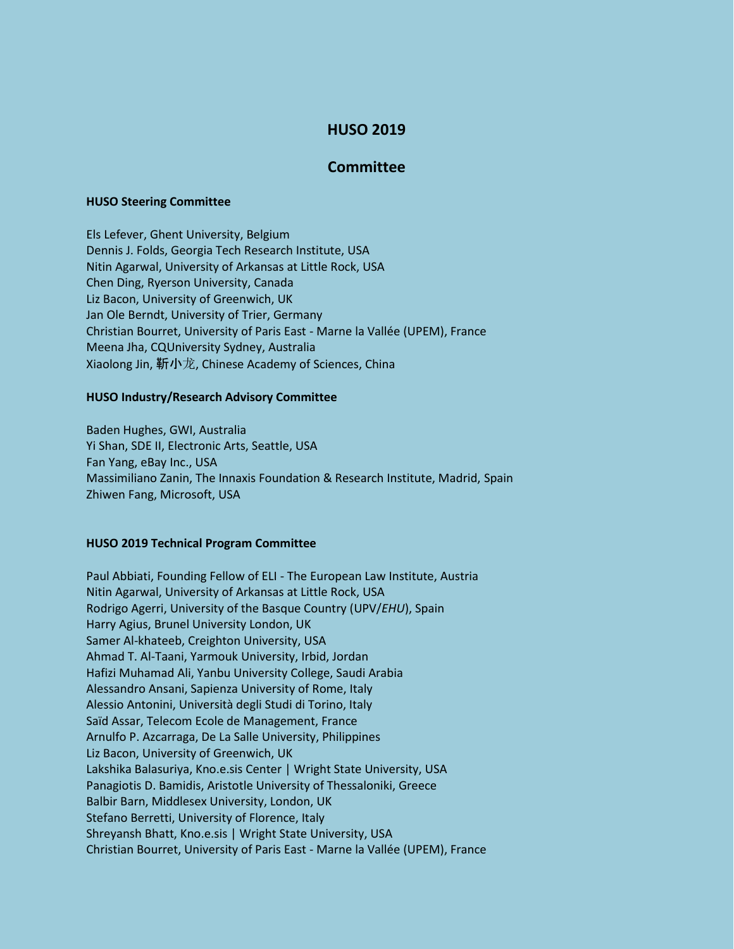# **HUSO 2019**

## **Committee**

#### **HUSO Steering Committee**

Els Lefever, Ghent University, Belgium Dennis J. Folds, Georgia Tech Research Institute, USA Nitin Agarwal, University of Arkansas at Little Rock, USA Chen Ding, Ryerson University, Canada Liz Bacon, University of Greenwich, UK Jan Ole Berndt, University of Trier, Germany Christian Bourret, University of Paris East - Marne la Vallée (UPEM), France Meena Jha, CQUniversity Sydney, Australia Xiaolong Jin, 靳小龙, Chinese Academy of Sciences, China

### **HUSO Industry/Research Advisory Committee**

Baden Hughes, GWI, Australia Yi Shan, SDE II, Electronic Arts, Seattle, USA Fan Yang, eBay Inc., USA Massimiliano Zanin, The Innaxis Foundation & Research Institute, Madrid, Spain Zhiwen Fang, Microsoft, USA

#### **HUSO 2019 Technical Program Committee**

Paul Abbiati, Founding Fellow of ELI - The European Law Institute, Austria Nitin Agarwal, University of Arkansas at Little Rock, USA Rodrigo Agerri, University of the Basque Country (UPV/*EHU*), Spain Harry Agius, Brunel University London, UK Samer Al-khateeb, Creighton University, USA Ahmad T. Al-Taani, Yarmouk University, Irbid, Jordan Hafizi Muhamad Ali, Yanbu University College, Saudi Arabia Alessandro Ansani, Sapienza University of Rome, Italy Alessio Antonini, Università degli Studi di Torino, Italy Saïd Assar, Telecom Ecole de Management, France Arnulfo P. Azcarraga, De La Salle University, Philippines Liz Bacon, University of Greenwich, UK Lakshika Balasuriya, Kno.e.sis Center | Wright State University, USA Panagiotis D. Bamidis, Aristotle University of Thessaloniki, Greece Balbir Barn, Middlesex University, London, UK Stefano Berretti, University of Florence, Italy Shreyansh Bhatt, Kno.e.sis | Wright State University, USA Christian Bourret, University of Paris East - Marne la Vallée (UPEM), France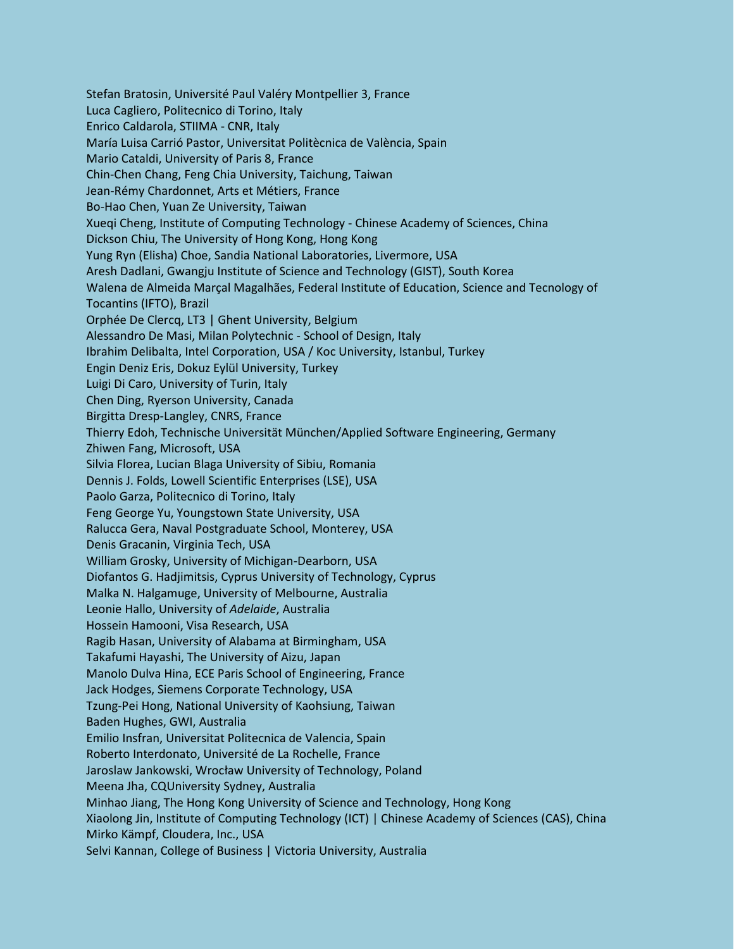Stefan Bratosin, Université Paul Valéry Montpellier 3, France Luca Cagliero, Politecnico di Torino, Italy Enrico Caldarola, STIIMA - CNR, Italy María Luisa Carrió Pastor, Universitat Politècnica de València, Spain Mario Cataldi, University of Paris 8, France Chin-Chen Chang, Feng Chia University, Taichung, Taiwan Jean-Rémy Chardonnet, Arts et Métiers, France Bo-Hao Chen, Yuan Ze University, Taiwan Xueqi Cheng, Institute of Computing Technology - Chinese Academy of Sciences, China Dickson Chiu, The University of Hong Kong, Hong Kong Yung Ryn (Elisha) Choe, Sandia National Laboratories, Livermore, USA Aresh Dadlani, Gwangju Institute of Science and Technology (GIST), South Korea Walena de Almeida Marçal Magalhães, Federal Institute of Education, Science and Tecnology of Tocantins (IFTO), Brazil Orphée De Clercq, LT3 | Ghent University, Belgium Alessandro De Masi, Milan Polytechnic - School of Design, Italy Ibrahim Delibalta, Intel Corporation, USA / Koc University, Istanbul, Turkey Engin Deniz Eris, Dokuz Eylül University, Turkey Luigi Di Caro, University of Turin, Italy Chen Ding, Ryerson University, Canada Birgitta Dresp-Langley, CNRS, France Thierry Edoh, Technische Universität München/Applied Software Engineering, Germany Zhiwen Fang, Microsoft, USA Silvia Florea, Lucian Blaga University of Sibiu, Romania Dennis J. Folds, Lowell Scientific Enterprises (LSE), USA Paolo Garza, Politecnico di Torino, Italy Feng George Yu, Youngstown State University, USA Ralucca Gera, Naval Postgraduate School, Monterey, USA Denis Gracanin, Virginia Tech, USA William Grosky, University of Michigan-Dearborn, USA Diofantos G. Hadjimitsis, Cyprus University of Technology, Cyprus Malka N. Halgamuge, University of Melbourne, Australia Leonie Hallo, University of *Adelaide*, Australia Hossein Hamooni, Visa Research, USA Ragib Hasan, University of Alabama at Birmingham, USA Takafumi Hayashi, The University of Aizu, Japan Manolo Dulva Hina, ECE Paris School of Engineering, France Jack Hodges, Siemens Corporate Technology, USA Tzung-Pei Hong, National University of Kaohsiung, Taiwan Baden Hughes, GWI, Australia Emilio Insfran, Universitat Politecnica de Valencia, Spain Roberto Interdonato, Université de La Rochelle, France Jaroslaw Jankowski, Wrocław University of Technology, Poland Meena Jha, CQUniversity Sydney, Australia Minhao Jiang, The Hong Kong University of Science and Technology, Hong Kong Xiaolong Jin, Institute of Computing Technology (ICT) | Chinese Academy of Sciences (CAS), China Mirko Kämpf, Cloudera, Inc., USA Selvi Kannan, College of Business | Victoria University, Australia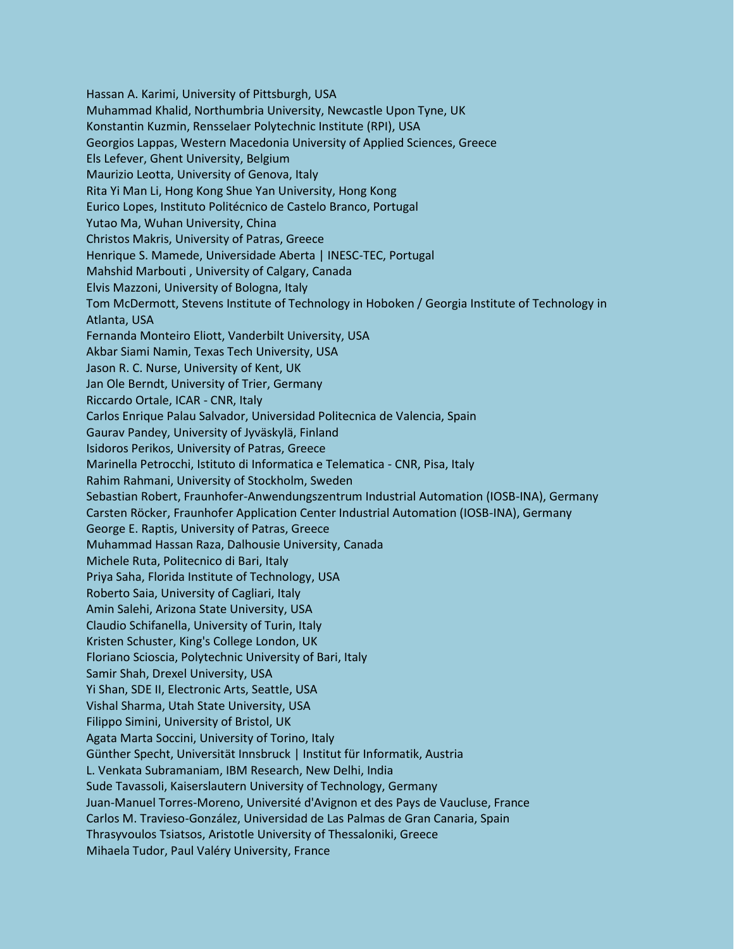Hassan A. Karimi, University of Pittsburgh, USA Muhammad Khalid, Northumbria University, Newcastle Upon Tyne, UK Konstantin Kuzmin, Rensselaer Polytechnic Institute (RPI), USA Georgios Lappas, Western Macedonia University of Applied Sciences, Greece Els Lefever, Ghent University, Belgium Maurizio Leotta, University of Genova, Italy Rita Yi Man Li, Hong Kong Shue Yan University, Hong Kong Eurico Lopes, Instituto Politécnico de Castelo Branco, Portugal Yutao Ma, Wuhan University, China Christos Makris, University of Patras, Greece Henrique S. Mamede, Universidade Aberta | INESC-TEC, Portugal Mahshid Marbouti , University of Calgary, Canada Elvis Mazzoni, University of Bologna, Italy Tom McDermott, Stevens Institute of Technology in Hoboken / Georgia Institute of Technology in Atlanta, USA Fernanda Monteiro Eliott, Vanderbilt University, USA Akbar Siami Namin, Texas Tech University, USA Jason R. C. Nurse, University of Kent, UK Jan Ole Berndt, University of Trier, Germany Riccardo Ortale, ICAR - CNR, Italy Carlos Enrique Palau Salvador, Universidad Politecnica de Valencia, Spain Gaurav Pandey, University of Jyväskylä, Finland Isidoros Perikos, University of Patras, Greece Marinella Petrocchi, Istituto di Informatica e Telematica - CNR, Pisa, Italy Rahim Rahmani, University of Stockholm, Sweden Sebastian Robert, Fraunhofer-Anwendungszentrum Industrial Automation (IOSB-INA), Germany Carsten Röcker, Fraunhofer Application Center Industrial Automation (IOSB-INA), Germany George E. Raptis, University of Patras, Greece Muhammad Hassan Raza, Dalhousie University, Canada Michele Ruta, Politecnico di Bari, Italy Priya Saha, Florida Institute of Technology, USA Roberto Saia, University of Cagliari, Italy Amin Salehi, Arizona State University, USA Claudio Schifanella, University of Turin, Italy Kristen Schuster, King's College London, UK Floriano Scioscia, Polytechnic University of Bari, Italy Samir Shah, Drexel University, USA Yi Shan, SDE II, Electronic Arts, Seattle, USA Vishal Sharma, Utah State University, USA Filippo Simini, University of Bristol, UK Agata Marta Soccini, University of Torino, Italy Günther Specht, Universität Innsbruck | Institut für Informatik, Austria L. Venkata Subramaniam, IBM Research, New Delhi, India Sude Tavassoli, Kaiserslautern University of Technology, Germany Juan-Manuel Torres-Moreno, Université d'Avignon et des Pays de Vaucluse, France Carlos M. Travieso-González, Universidad de Las Palmas de Gran Canaria, Spain Thrasyvoulos Tsiatsos, Aristotle University of Thessaloniki, Greece Mihaela Tudor, Paul Valéry University, France